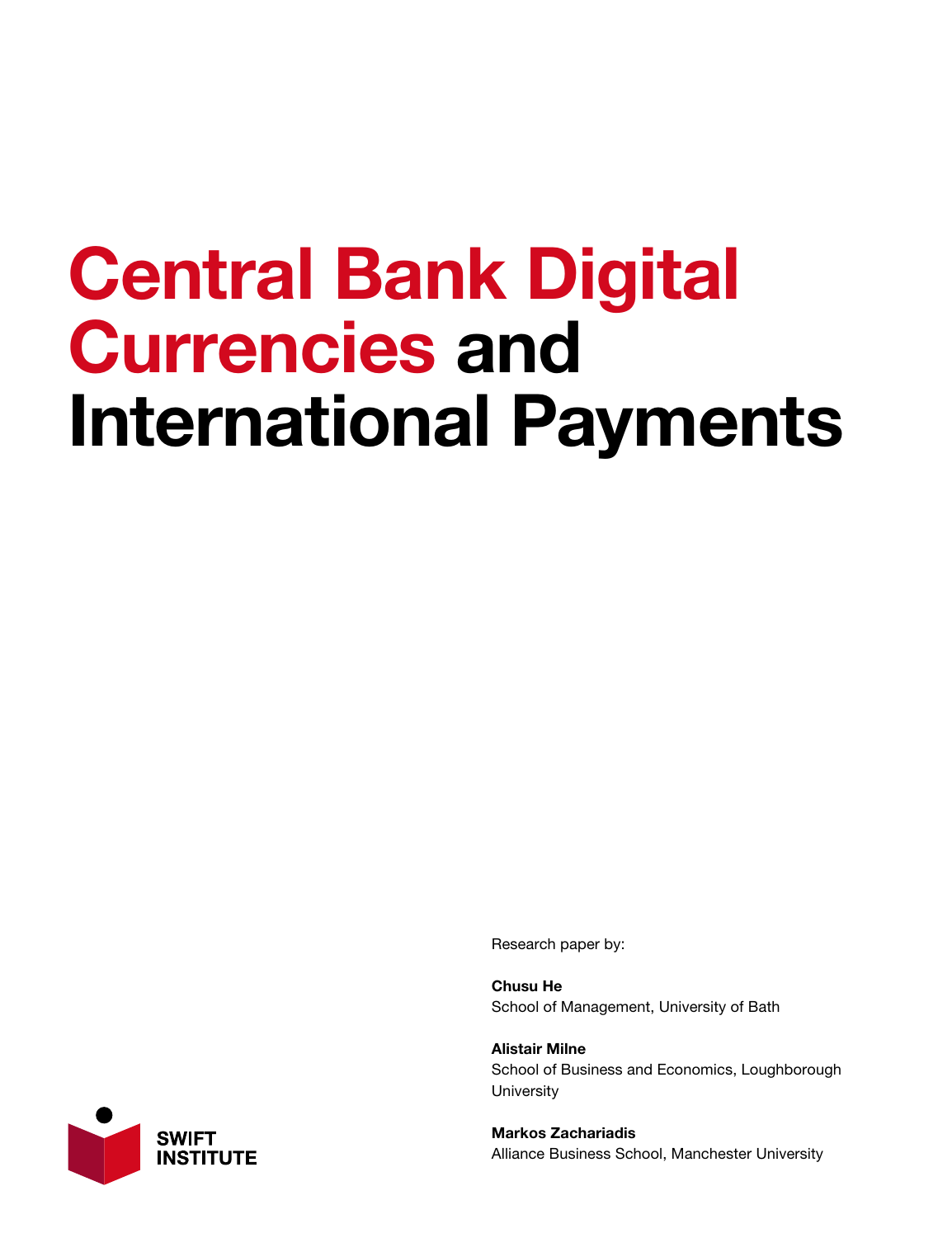## Central Bank Digital Currencies and International Payments

Research paper by:

Chusu He School of Management, University of Bath

Alistair Milne School of Business and Economics, Loughborough **University** 

Markos Zachariadis Alliance Business School, Manchester University

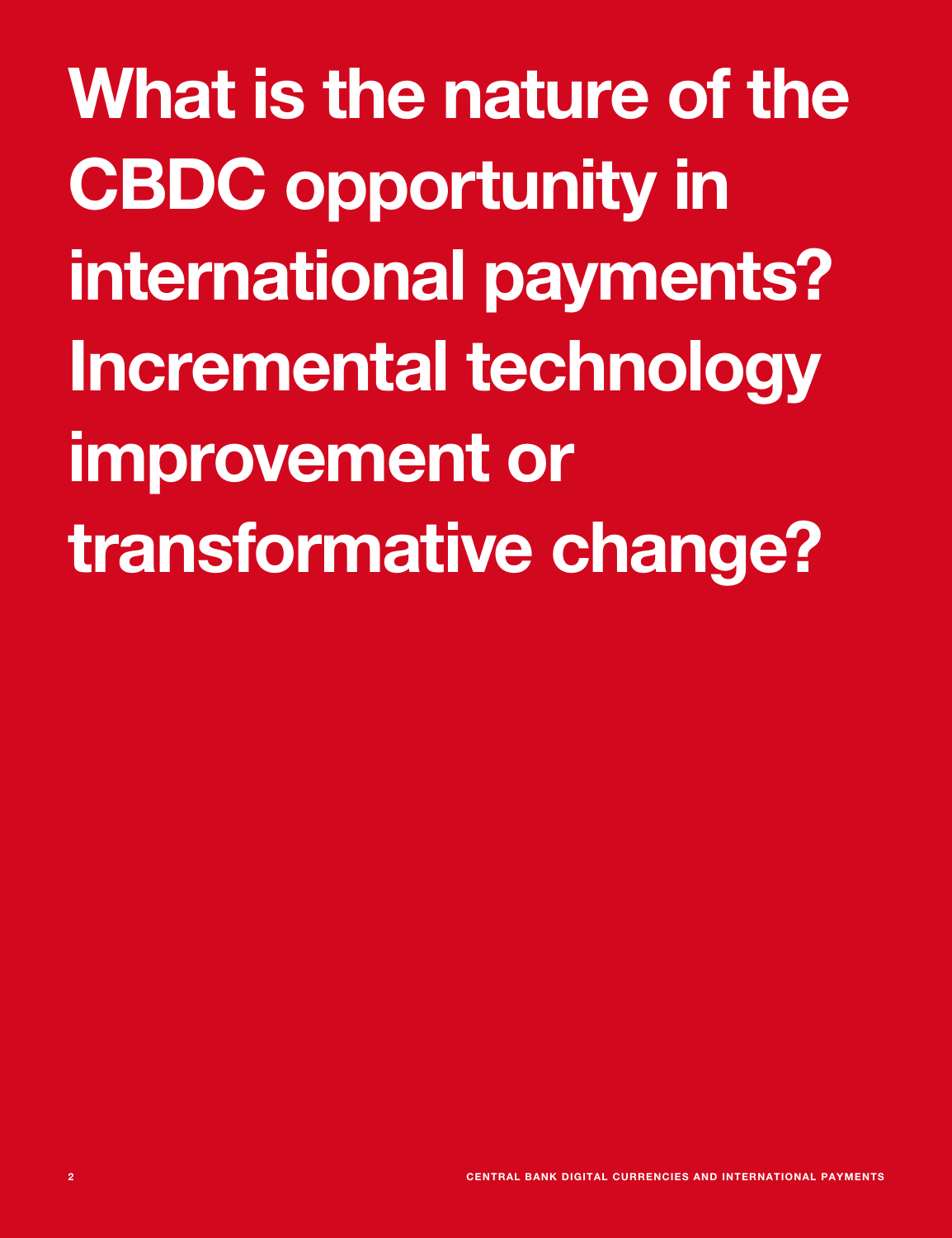What is the nature of the CBDC opportunity in international payments? Incremental technology improvement or transformative change?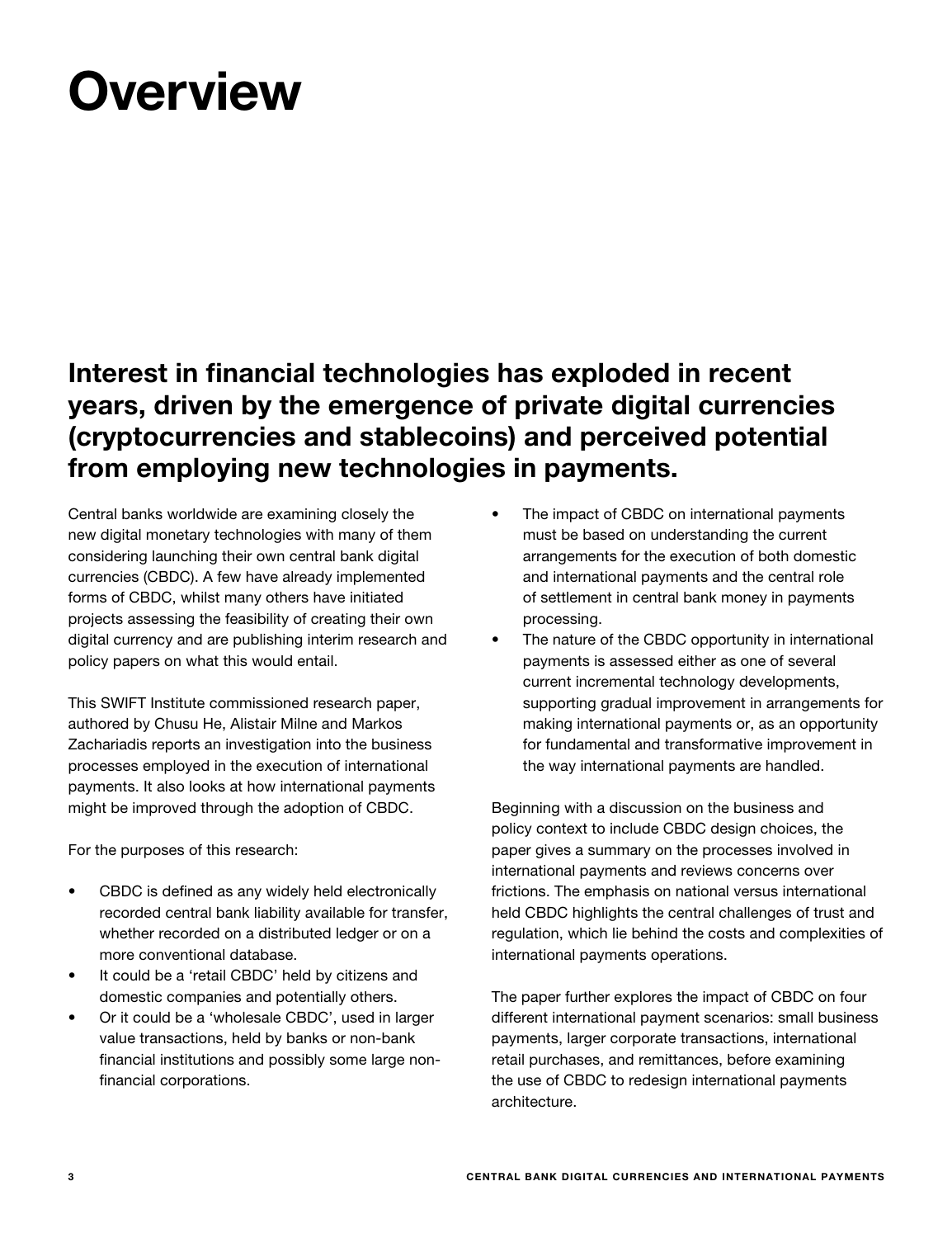## **Overview**

## Interest in financial technologies has exploded in recent years, driven by the emergence of private digital currencies (cryptocurrencies and stablecoins) and perceived potential from employing new technologies in payments.

Central banks worldwide are examining closely the new digital monetary technologies with many of them considering launching their own central bank digital currencies (CBDC). A few have already implemented forms of CBDC, whilst many others have initiated projects assessing the feasibility of creating their own digital currency and are publishing interim research and policy papers on what this would entail.

This SWIFT Institute commissioned research paper, authored by Chusu He, Alistair Milne and Markos Zachariadis reports an investigation into the business processes employed in the execution of international payments. It also looks at how international payments might be improved through the adoption of CBDC.

For the purposes of this research:

- CBDC is defined as any widely held electronically recorded central bank liability available for transfer, whether recorded on a distributed ledger or on a more conventional database.
- It could be a 'retail CBDC' held by citizens and domestic companies and potentially others.
- Or it could be a 'wholesale CBDC', used in larger value transactions, held by banks or non-bank financial institutions and possibly some large nonfinancial corporations.
- The impact of CBDC on international payments must be based on understanding the current arrangements for the execution of both domestic and international payments and the central role of settlement in central bank money in payments processing.
- The nature of the CBDC opportunity in international payments is assessed either as one of several current incremental technology developments, supporting gradual improvement in arrangements for making international payments or, as an opportunity for fundamental and transformative improvement in the way international payments are handled.

Beginning with a discussion on the business and policy context to include CBDC design choices, the paper gives a summary on the processes involved in international payments and reviews concerns over frictions. The emphasis on national versus international held CBDC highlights the central challenges of trust and regulation, which lie behind the costs and complexities of international payments operations.

The paper further explores the impact of CBDC on four different international payment scenarios: small business payments, larger corporate transactions, international retail purchases, and remittances, before examining the use of CBDC to redesign international payments architecture.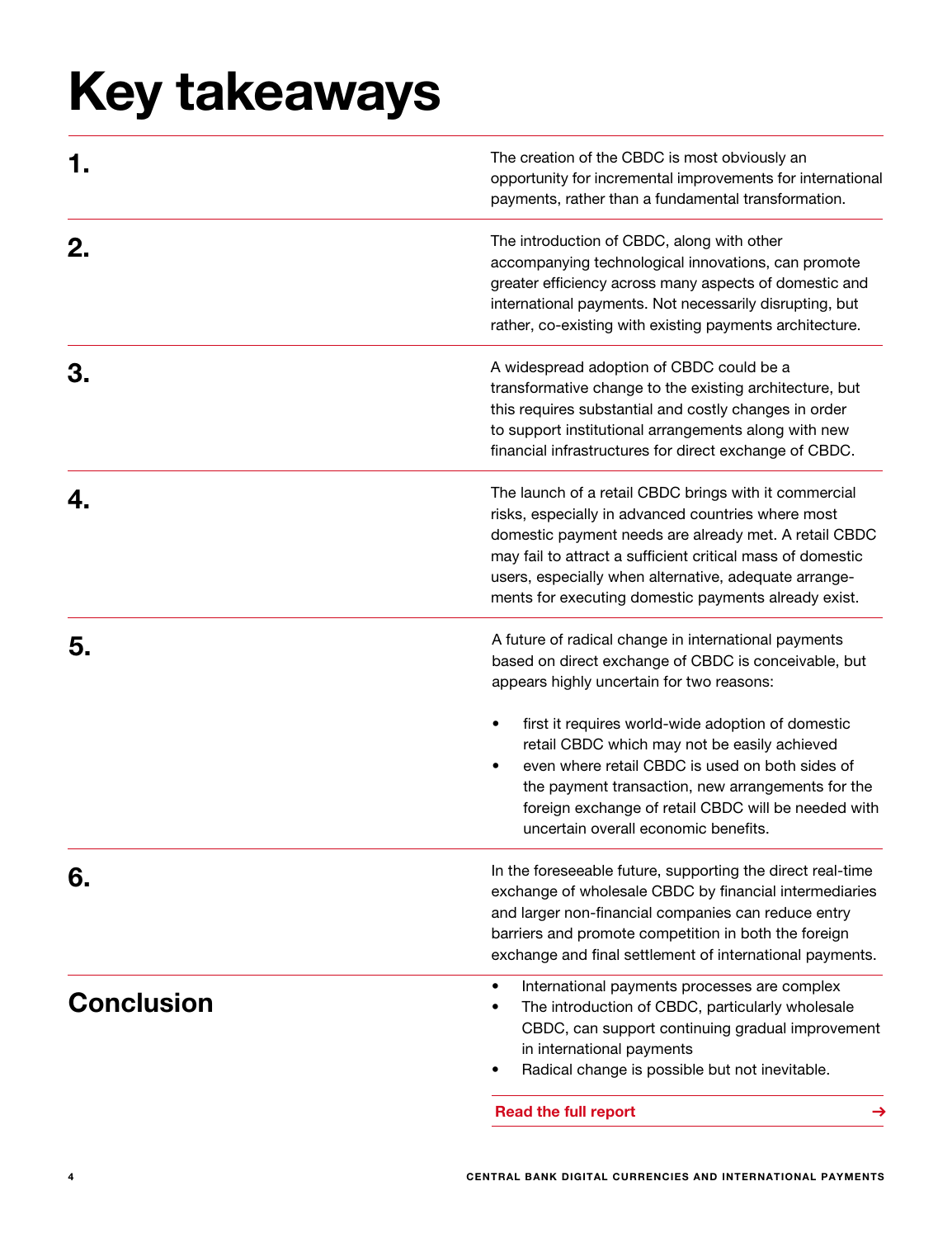## Key takeaways

|                   | The creation of the CBDC is most obviously an<br>opportunity for incremental improvements for international<br>payments, rather than a fundamental transformation.                                                                                                                                                                                  |
|-------------------|-----------------------------------------------------------------------------------------------------------------------------------------------------------------------------------------------------------------------------------------------------------------------------------------------------------------------------------------------------|
| 2.                | The introduction of CBDC, along with other<br>accompanying technological innovations, can promote<br>greater efficiency across many aspects of domestic and<br>international payments. Not necessarily disrupting, but<br>rather, co-existing with existing payments architecture.                                                                  |
| З.                | A widespread adoption of CBDC could be a<br>transformative change to the existing architecture, but<br>this requires substantial and costly changes in order<br>to support institutional arrangements along with new<br>financial infrastructures for direct exchange of CBDC.                                                                      |
|                   | The launch of a retail CBDC brings with it commercial<br>risks, especially in advanced countries where most<br>domestic payment needs are already met. A retail CBDC<br>may fail to attract a sufficient critical mass of domestic<br>users, especially when alternative, adequate arrange-<br>ments for executing domestic payments already exist. |
| 5.                | A future of radical change in international payments<br>based on direct exchange of CBDC is conceivable, but<br>appears highly uncertain for two reasons:                                                                                                                                                                                           |
|                   | first it requires world-wide adoption of domestic<br>retail CBDC which may not be easily achieved<br>even where retail CBDC is used on both sides of<br>the payment transaction, new arrangements for the<br>foreign exchange of retail CBDC will be needed with<br>uncertain overall economic benefits.                                            |
| 6.                | In the foreseeable future, supporting the direct real-time<br>exchange of wholesale CBDC by financial intermediaries<br>and larger non-financial companies can reduce entry<br>barriers and promote competition in both the foreign<br>exchange and final settlement of international payments.                                                     |
| <b>Conclusion</b> | International payments processes are complex<br>٠<br>The introduction of CBDC, particularly wholesale<br>CBDC, can support continuing gradual improvement<br>in international payments<br>Radical change is possible but not inevitable.                                                                                                            |
|                   | <b>Read the full report</b><br>→                                                                                                                                                                                                                                                                                                                    |